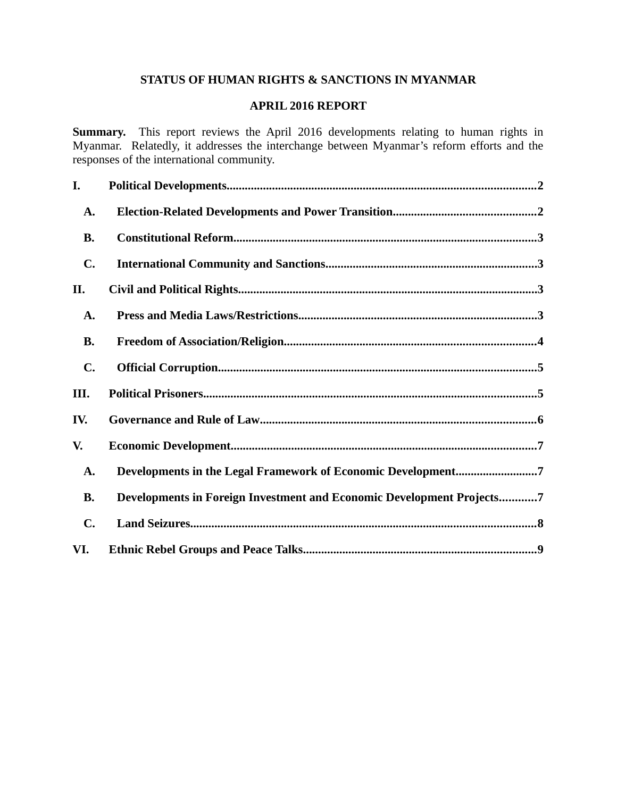# **STATUS OF HUMAN RIGHTS & SANCTIONS IN MYANMAR**

## **APRIL 2016 REPORT**

**Summary.** This report reviews the April 2016 developments relating to human rights in Myanmar. Relatedly, it addresses the interchange between Myanmar's reform efforts and the responses of the international community.

| I.             |                                                                       |
|----------------|-----------------------------------------------------------------------|
| A.             |                                                                       |
| <b>B.</b>      |                                                                       |
| C.             |                                                                       |
| II.            |                                                                       |
| A.             |                                                                       |
| <b>B.</b>      |                                                                       |
| $\mathbf{C}$ . |                                                                       |
| III.           |                                                                       |
| IV.            |                                                                       |
| V.             |                                                                       |
| A.             | Developments in the Legal Framework of Economic Development7          |
| <b>B.</b>      | Developments in Foreign Investment and Economic Development Projects7 |
| $\mathbf{C}$ . |                                                                       |
| VI.            |                                                                       |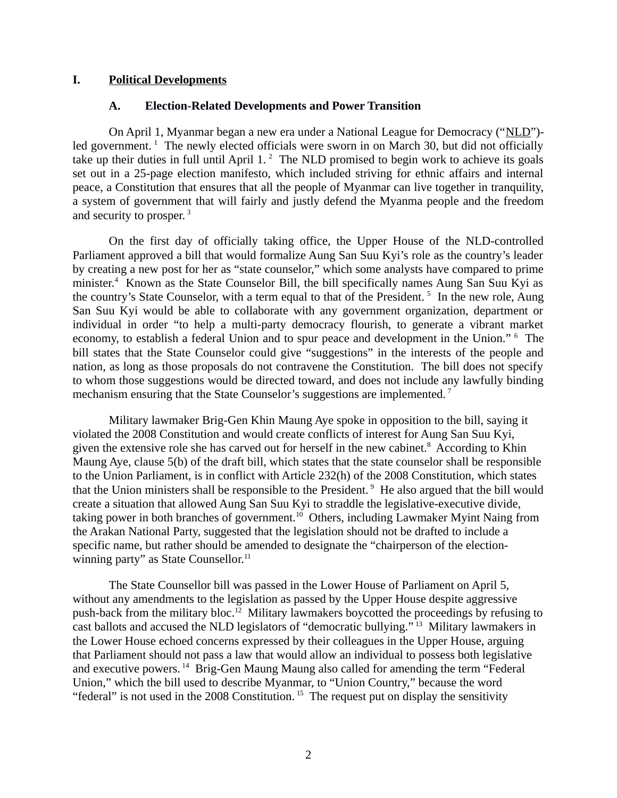### **I. Political Developments**

### <span id="page-1-1"></span><span id="page-1-0"></span>**A. Election-Related Developments and Power Transition**

On April 1, Myanmar began a new era under a National League for Democracy ("NLD") led government.<sup>1</sup> The newly elected officials were sworn in on March 30, but did not officially take up their duties in full until April  $1.^2$  The NLD promised to begin work to achieve its goals set out in a 25-page election manifesto, which included striving for ethnic affairs and internal peace, a Constitution that ensures that all the people of Myanmar can live together in tranquility, a system of government that will fairly and justly defend the Myanma people and the freedom and security to prosper. $3$ 

On the first day of officially taking office, the Upper House of the NLD-controlled Parliament approved a bill that would formalize Aung San Suu Kyi's role as the country's leader by creating a new post for her as "state counselor," which some analysts have compared to prime minister.<sup>4</sup> Known as the State Counselor Bill, the bill specifically names Aung San Suu Kyi as the country's State Counselor, with a term equal to that of the President.<sup>5</sup> In the new role, Aung San Suu Kyi would be able to collaborate with any government organization, department or individual in order "to help a multi-party democracy flourish, to generate a vibrant market economy, to establish a federal Union and to spur peace and development in the Union." <sup>6</sup> The bill states that the State Counselor could give "suggestions" in the interests of the people and nation, as long as those proposals do not contravene the Constitution. The bill does not specify to whom those suggestions would be directed toward, and does not include any lawfully binding mechanism ensuring that the State Counselor's suggestions are implemented.<sup>7</sup>

Military lawmaker Brig-Gen Khin Maung Aye spoke in opposition to the bill, saying it violated the 2008 Constitution and would create conflicts of interest for Aung San Suu Kyi, given the extensive role she has carved out for herself in the new cabinet. $8$  According to Khin Maung Aye, clause 5(b) of the draft bill, which states that the state counselor shall be responsible to the Union Parliament, is in conflict with Article 232(h) of the 2008 Constitution, which states that the Union ministers shall be responsible to the President.<sup>9</sup> He also argued that the bill would create a situation that allowed Aung San Suu Kyi to straddle the legislative-executive divide, taking power in both branches of government.<sup>10</sup> Others, including Lawmaker Myint Naing from the Arakan National Party, suggested that the legislation should not be drafted to include a specific name, but rather should be amended to designate the "chairperson of the electionwinning party" as State Counsellor. $11$ 

The State Counsellor bill was passed in the Lower House of Parliament on April 5, without any amendments to the legislation as passed by the Upper House despite aggressive push-back from the military bloc.<sup>12</sup> Military lawmakers boycotted the proceedings by refusing to cast ballots and accused the NLD legislators of "democratic bullying." <sup>13</sup> Military lawmakers in the Lower House echoed concerns expressed by their colleagues in the Upper House, arguing that Parliament should not pass a law that would allow an individual to possess both legislative and executive powers.<sup>14</sup> Brig-Gen Maung Maung also called for amending the term "Federal Union," which the bill used to describe Myanmar, to "Union Country," because the word "federal" is not used in the 2008 Constitution.<sup>15</sup> The request put on display the sensitivity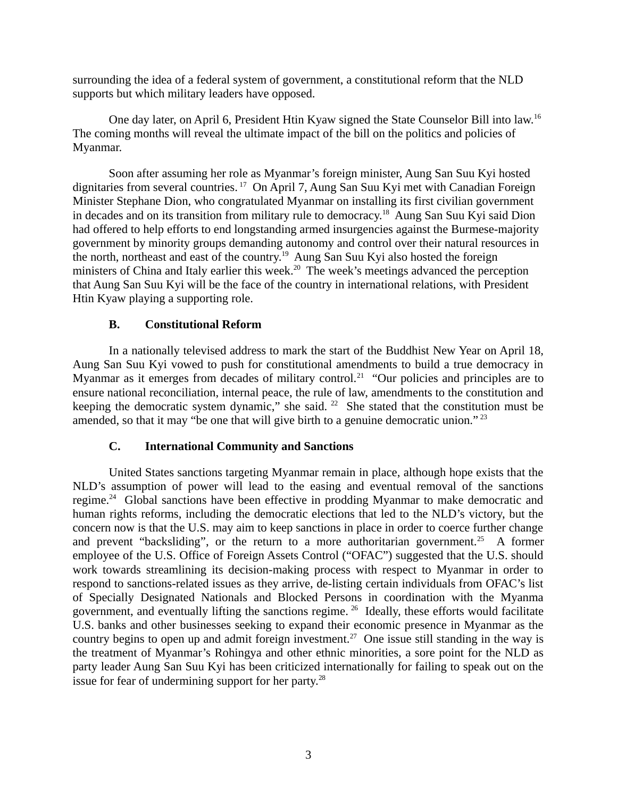surrounding the idea of a federal system of government, a constitutional reform that the NLD supports but which military leaders have opposed.

One day later, on April 6, President Htin Kyaw signed the State Counselor Bill into law.<sup>16</sup> The coming months will reveal the ultimate impact of the bill on the politics and policies of Myanmar.

Soon after assuming her role as Myanmar's foreign minister, Aung San Suu Kyi hosted dignitaries from several countries.<sup>17</sup> On April 7, Aung San Suu Kyi met with Canadian Foreign Minister Stephane Dion, who congratulated Myanmar on installing its first civilian government in decades and on its transition from military rule to democracy.<sup>18</sup> Aung San Suu Kyi said Dion had offered to help efforts to end longstanding armed insurgencies against the Burmese-majority government by minority groups demanding autonomy and control over their natural resources in the north, northeast and east of the country.<sup>19</sup> Aung San Suu Kyi also hosted the foreign ministers of China and Italy earlier this week.<sup>20</sup> The week's meetings advanced the perception that Aung San Suu Kyi will be the face of the country in international relations, with President Htin Kyaw playing a supporting role.

## <span id="page-2-1"></span>**B. Constitutional Reform**

In a nationally televised address to mark the start of the Buddhist New Year on April 18, Aung San Suu Kyi vowed to push for constitutional amendments to build a true democracy in Myanmar as it emerges from decades of military control.<sup>21</sup> "Our policies and principles are to ensure national reconciliation, internal peace, the rule of law, amendments to the constitution and keeping the democratic system dynamic," she said. <sup>22</sup> She stated that the constitution must be amended, so that it may "be one that will give birth to a genuine democratic union."  $^{23}$ 

## <span id="page-2-0"></span>**C. International Community and Sanctions**

United States sanctions targeting Myanmar remain in place, although hope exists that the NLD's assumption of power will lead to the easing and eventual removal of the sanctions regime.<sup>24</sup> Global sanctions have been effective in prodding Myanmar to make democratic and human rights reforms, including the democratic elections that led to the NLD's victory, but the concern now is that the U.S. may aim to keep sanctions in place in order to coerce further change and prevent "backsliding", or the return to a more authoritarian government.<sup>25</sup> A former employee of the U.S. Office of Foreign Assets Control ("OFAC") suggested that the U.S. should work towards streamlining its decision-making process with respect to Myanmar in order to respond to sanctions-related issues as they arrive, de-listing certain individuals from OFAC's list of Specially Designated Nationals and Blocked Persons in coordination with the Myanma government, and eventually lifting the sanctions regime. <sup>26</sup> Ideally, these efforts would facilitate U.S. banks and other businesses seeking to expand their economic presence in Myanmar as the country begins to open up and admit foreign investment.<sup>27</sup> One issue still standing in the way is the treatment of Myanmar's Rohingya and other ethnic minorities, a sore point for the NLD as party leader Aung San Suu Kyi has been criticized internationally for failing to speak out on the issue for fear of undermining support for her party. $^{28}$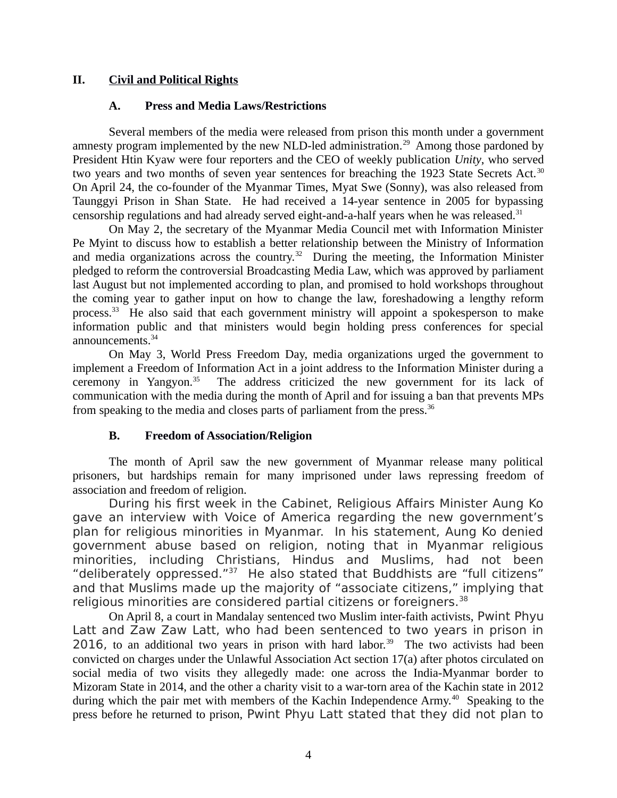## **II. Civil and Political Rights**

## <span id="page-3-2"></span><span id="page-3-1"></span>**A. Press and Media Laws/Restrictions**

Several members of the media were released from prison this month under a government amnesty program implemented by the new NLD-led administration.<sup>29</sup> Among those pardoned by President Htin Kyaw were four reporters and the CEO of weekly publication *Unity*, who served two years and two months of seven year sentences for breaching the 1923 State Secrets Act.<sup>30</sup> On April 24, the co-founder of the Myanmar Times, Myat Swe (Sonny), was also released from Taunggyi Prison in Shan State. He had received a 14-year sentence in 2005 for bypassing censorship regulations and had already served eight-and-a-half years when he was released.<sup>31</sup>

On May 2, the secretary of the Myanmar Media Council met with Information Minister Pe Myint to discuss how to establish a better relationship between the Ministry of Information and media organizations across the country.<sup>32</sup> During the meeting, the Information Minister pledged to reform the controversial Broadcasting Media Law, which was approved by parliament last August but not implemented according to plan, and promised to hold workshops throughout the coming year to gather input on how to change the law, foreshadowing a lengthy reform process.<sup>33</sup> He also said that each government ministry will appoint a spokesperson to make information public and that ministers would begin holding press conferences for special announcements.<sup>34</sup>

On May 3, World Press Freedom Day, media organizations urged the government to implement a Freedom of Information Act in a joint address to the Information Minister during a ceremony in Yangyon.<sup>35</sup> The address criticized the new government for its lack of communication with the media during the month of April and for issuing a ban that prevents MPs from speaking to the media and closes parts of parliament from the press.<sup>36</sup>

## <span id="page-3-0"></span>**B. Freedom of Association/Religion**

The month of April saw the new government of Myanmar release many political prisoners, but hardships remain for many imprisoned under laws repressing freedom of association and freedom of religion.

During his first week in the Cabinet, Religious Affairs Minister Aung Ko gave an interview with Voice of America regarding the new government's plan for religious minorities in Myanmar. In his statement, Aung Ko denied government abuse based on religion, noting that in Myanmar religious minorities, including Christians, Hindus and Muslims, had not been "deliberately oppressed."<sup>37</sup> He also stated that Buddhists are "full citizens" and that Muslims made up the majority of "associate citizens," implying that religious minorities are considered partial citizens or foreigners.<sup>38</sup>

On April 8, a court in Mandalay sentenced two Muslim inter-faith activists, Pwint Phyu Latt and Zaw Zaw Latt, who had been sentenced to two years in prison in 2016, to an additional two years in prison with hard labor.<sup>39</sup> The two activists had been convicted on charges under the Unlawful Association Act section 17(a) after photos circulated on social media of two visits they allegedly made: one across the India-Myanmar border to Mizoram State in 2014, and the other a charity visit to a war-torn area of the Kachin state in 2012 during which the pair met with members of the Kachin Independence Army.<sup>40</sup> Speaking to the press before he returned to prison, Pwint Phyu Latt stated that they did not plan to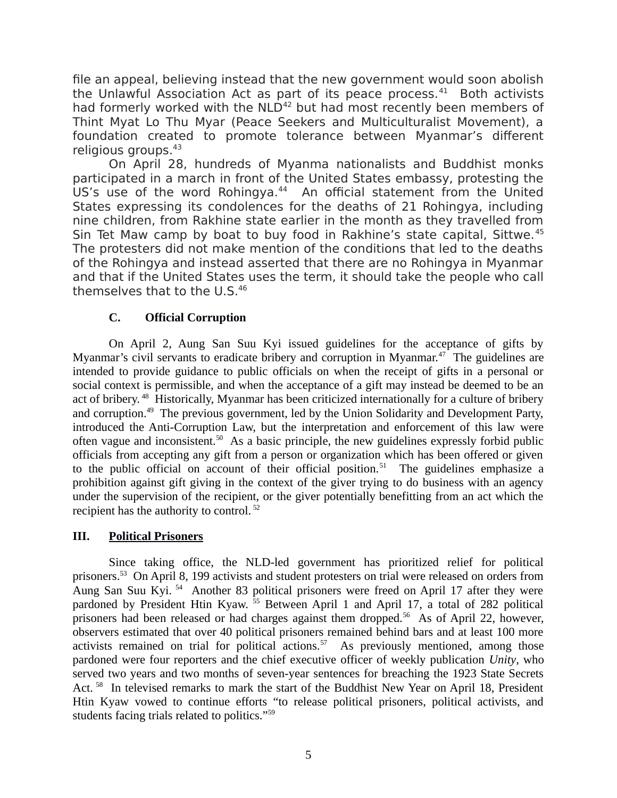file an appeal, believing instead that the new government would soon abolish the Unlawful Association Act as part of its peace process. $41$  Both activists had formerly worked with the NLD<sup>42</sup> but had most recently been members of Thint Myat Lo Thu Myar (Peace Seekers and Multiculturalist Movement), a foundation created to promote tolerance between Myanmar's different religious groups.<sup>43</sup>

On April 28, hundreds of Myanma nationalists and Buddhist monks participated in a march in front of the United States embassy, protesting the US's use of the word Rohingya.<sup>44</sup> An official statement from the United States expressing its condolences for the deaths of 21 Rohingya, including nine children, from Rakhine state earlier in the month as they travelled from Sin Tet Maw camp by boat to buy food in Rakhine's state capital, Sittwe.<sup>45</sup> The protesters did not make mention of the conditions that led to the deaths of the Rohingya and instead asserted that there are no Rohingya in Myanmar and that if the United States uses the term, it should take the people who call themselves that to the U.S.<sup>46</sup>

## <span id="page-4-1"></span>**C. Official Corruption**

On April 2, Aung San Suu Kyi issued guidelines for the acceptance of gifts by Myanmar's civil servants to eradicate bribery and corruption in Myanmar.<sup>47</sup> The guidelines are intended to provide guidance to public officials on when the receipt of gifts in a personal or social context is permissible, and when the acceptance of a gift may instead be deemed to be an act of bribery. <sup>48</sup> Historically, Myanmar has been criticized internationally for a culture of bribery and corruption.<sup>49</sup> The previous government, led by the Union Solidarity and Development Party, introduced the Anti-Corruption Law, but the interpretation and enforcement of this law were often vague and inconsistent.<sup>50</sup> As a basic principle, the new guidelines expressly forbid public officials from accepting any gift from a person or organization which has been offered or given to the public official on account of their official position.<sup>51</sup> The guidelines emphasize a prohibition against gift giving in the context of the giver trying to do business with an agency under the supervision of the recipient, or the giver potentially benefitting from an act which the recipient has the authority to control.<sup>52</sup>

## <span id="page-4-0"></span>**III. Political Prisoners**

Since taking office, the NLD-led government has prioritized relief for political prisoners.<sup>53</sup> On April 8, 199 activists and student protesters on trial were released on orders from Aung San Suu Kyi.<sup>54</sup> Another 83 political prisoners were freed on April 17 after they were pardoned by President Htin Kyaw.<sup>55</sup> Between April 1 and April 17, a total of 282 political prisoners had been released or had charges against them dropped.<sup>56</sup> As of April 22, however, observers estimated that over 40 political prisoners remained behind bars and at least 100 more activists remained on trial for political actions.<sup>57</sup> As previously mentioned, among those pardoned were four reporters and the chief executive officer of weekly publication *Unity*, who served two years and two months of seven-year sentences for breaching the 1923 State Secrets Act.<sup>58</sup> In televised remarks to mark the start of the Buddhist New Year on April 18, President Htin Kyaw vowed to continue efforts "to release political prisoners, political activists, and students facing trials related to politics."<sup>59</sup>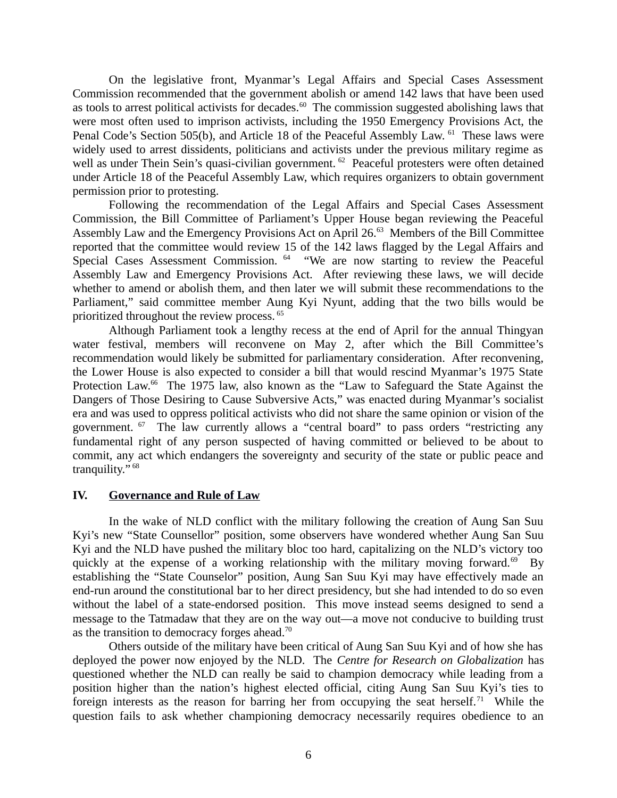On the legislative front, Myanmar's Legal Affairs and Special Cases Assessment Commission recommended that the government abolish or amend 142 laws that have been used as tools to arrest political activists for decades.<sup>60</sup> The commission suggested abolishing laws that were most often used to imprison activists, including the 1950 Emergency Provisions Act, the Penal Code's Section 505(b), and Article 18 of the Peaceful Assembly Law. <sup>61</sup> These laws were widely used to arrest dissidents, politicians and activists under the previous military regime as well as under Thein Sein's quasi-civilian government. <sup>62</sup> Peaceful protesters were often detained under Article 18 of the Peaceful Assembly Law, which requires organizers to obtain government permission prior to protesting.

Following the recommendation of the Legal Affairs and Special Cases Assessment Commission, the Bill Committee of Parliament's Upper House began reviewing the Peaceful Assembly Law and the Emergency Provisions Act on April 26.<sup>63</sup> Members of the Bill Committee reported that the committee would review 15 of the 142 laws flagged by the Legal Affairs and Special Cases Assessment Commission. <sup>64</sup> "We are now starting to review the Peaceful Assembly Law and Emergency Provisions Act. After reviewing these laws, we will decide whether to amend or abolish them, and then later we will submit these recommendations to the Parliament," said committee member Aung Kyi Nyunt, adding that the two bills would be prioritized throughout the review process. <sup>65</sup>

Although Parliament took a lengthy recess at the end of April for the annual Thingyan water festival, members will reconvene on May 2, after which the Bill Committee's recommendation would likely be submitted for parliamentary consideration. After reconvening, the Lower House is also expected to consider a bill that would rescind Myanmar's 1975 State Protection Law.<sup>66</sup> The 1975 law, also known as the "Law to Safeguard the State Against the Dangers of Those Desiring to Cause Subversive Acts," was enacted during Myanmar's socialist era and was used to oppress political activists who did not share the same opinion or vision of the government.  $67$  The law currently allows a "central board" to pass orders "restricting any fundamental right of any person suspected of having committed or believed to be about to commit, any act which endangers the sovereignty and security of the state or public peace and tranquility." <sup>68</sup>

#### <span id="page-5-0"></span>**IV. Governance and Rule of Law**

In the wake of NLD conflict with the military following the creation of Aung San Suu Kyi's new "State Counsellor" position, some observers have wondered whether Aung San Suu Kyi and the NLD have pushed the military bloc too hard, capitalizing on the NLD's victory too quickly at the expense of a working relationship with the military moving forward.<sup>69</sup> By establishing the "State Counselor" position, Aung San Suu Kyi may have effectively made an end-run around the constitutional bar to her direct presidency, but she had intended to do so even without the label of a state-endorsed position. This move instead seems designed to send a message to the Tatmadaw that they are on the way out—a move not conducive to building trust as the transition to democracy forges ahead.<sup>70</sup>

Others outside of the military have been critical of Aung San Suu Kyi and of how she has deployed the power now enjoyed by the NLD. The *Centre for Research on Globalization* has questioned whether the NLD can really be said to champion democracy while leading from a position higher than the nation's highest elected official, citing Aung San Suu Kyi's ties to foreign interests as the reason for barring her from occupying the seat herself.<sup>71</sup> While the question fails to ask whether championing democracy necessarily requires obedience to an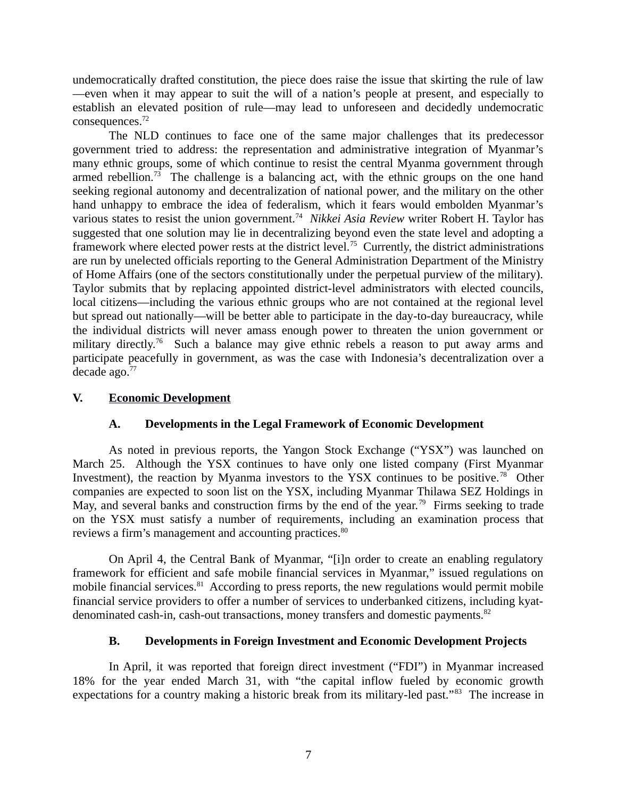undemocratically drafted constitution, the piece does raise the issue that skirting the rule of law —even when it may appear to suit the will of a nation's people at present, and especially to establish an elevated position of rule—may lead to unforeseen and decidedly undemocratic consequences.<sup>72</sup>

The NLD continues to face one of the same major challenges that its predecessor government tried to address: the representation and administrative integration of Myanmar's many ethnic groups, some of which continue to resist the central Myanma government through armed rebellion.<sup>73</sup> The challenge is a balancing act, with the ethnic groups on the one hand seeking regional autonomy and decentralization of national power, and the military on the other hand unhappy to embrace the idea of federalism, which it fears would embolden Myanmar's various states to resist the union government.<sup>74</sup> Nikkei Asia Review writer Robert H. Taylor has suggested that one solution may lie in decentralizing beyond even the state level and adopting a framework where elected power rests at the district level.<sup>75</sup> Currently, the district administrations are run by unelected officials reporting to the General Administration Department of the Ministry of Home Affairs (one of the sectors constitutionally under the perpetual purview of the military). Taylor submits that by replacing appointed district-level administrators with elected councils, local citizens—including the various ethnic groups who are not contained at the regional level but spread out nationally—will be better able to participate in the day-to-day bureaucracy, while the individual districts will never amass enough power to threaten the union government or military directly.<sup>76</sup> Such a balance may give ethnic rebels a reason to put away arms and participate peacefully in government, as was the case with Indonesia's decentralization over a decade ago.<sup>77</sup>

### **V. Economic Development**

## <span id="page-6-2"></span><span id="page-6-1"></span>**A. Developments in the Legal Framework of Economic Development**

As noted in previous reports, the Yangon Stock Exchange ("YSX") was launched on March 25. Although the YSX continues to have only one listed company (First Myanmar Investment), the reaction by Myanma investors to the YSX continues to be positive.<sup>78</sup> Other companies are expected to soon list on the YSX, including Myanmar Thilawa SEZ Holdings in May, and several banks and construction firms by the end of the year.<sup>79</sup> Firms seeking to trade on the YSX must satisfy a number of requirements, including an examination process that reviews a firm's management and accounting practices.<sup>80</sup>

On April 4, the Central Bank of Myanmar, "[i]n order to create an enabling regulatory framework for efficient and safe mobile financial services in Myanmar," issued regulations on mobile financial services.<sup>81</sup> According to press reports, the new regulations would permit mobile financial service providers to offer a number of services to underbanked citizens, including kyatdenominated cash-in, cash-out transactions, money transfers and domestic payments.<sup>82</sup>

## <span id="page-6-0"></span>**B. Developments in Foreign Investment and Economic Development Projects**

In April, it was reported that foreign direct investment ("FDI") in Myanmar increased 18% for the year ended March 31, with "the capital inflow fueled by economic growth expectations for a country making a historic break from its military-led past."<sup>83</sup> The increase in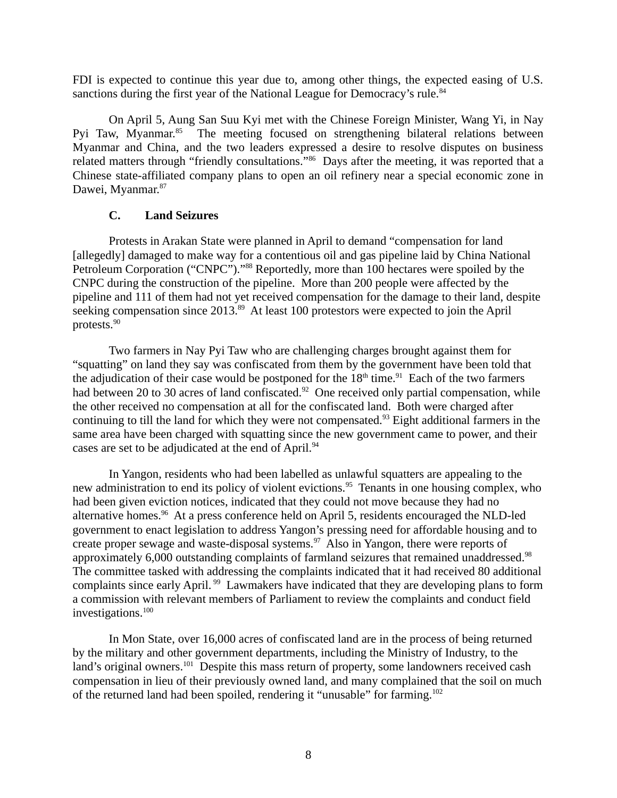FDI is expected to continue this year due to, among other things, the expected easing of U.S. sanctions during the first year of the National League for Democracy's rule.<sup>84</sup>

On April 5, Aung San Suu Kyi met with the Chinese Foreign Minister, Wang Yi, in Nay Pyi Taw, Myanmar.<sup>85</sup> The meeting focused on strengthening bilateral relations between Myanmar and China, and the two leaders expressed a desire to resolve disputes on business related matters through "friendly consultations."<sup>86</sup> Days after the meeting, it was reported that a Chinese state-affiliated company plans to open an oil refinery near a special economic zone in Dawei, Myanmar.<sup>87</sup>

## <span id="page-7-0"></span>**C. Land Seizures**

Protests in Arakan State were planned in April to demand "compensation for land [allegedly] damaged to make way for a contentious oil and gas pipeline laid by China National Petroleum Corporation ("CNPC")."<sup>88</sup> Reportedly, more than 100 hectares were spoiled by the CNPC during the construction of the pipeline. More than 200 people were affected by the pipeline and 111 of them had not yet received compensation for the damage to their land, despite seeking compensation since 2013.<sup>89</sup> At least 100 protestors were expected to join the April protests.<sup>90</sup>

Two farmers in Nay Pyi Taw who are challenging charges brought against them for "squatting" on land they say was confiscated from them by the government have been told that the adjudication of their case would be postponed for the  $18<sup>th</sup>$  time.<sup>91</sup> Each of the two farmers had between 20 to 30 acres of land confiscated.<sup>92</sup> One received only partial compensation, while the other received no compensation at all for the confiscated land. Both were charged after continuing to till the land for which they were not compensated.<sup>93</sup> Eight additional farmers in the same area have been charged with squatting since the new government came to power, and their cases are set to be adjudicated at the end of April.<sup>94</sup>

In Yangon, residents who had been labelled as unlawful squatters are appealing to the new administration to end its policy of violent evictions.<sup>95</sup> Tenants in one housing complex, who had been given eviction notices, indicated that they could not move because they had no alternative homes.<sup>96</sup> At a press conference held on April 5, residents encouraged the NLD-led government to enact legislation to address Yangon's pressing need for affordable housing and to create proper sewage and waste-disposal systems. $\frac{97}{100}$  Also in Yangon, there were reports of approximately 6,000 outstanding complaints of farmland seizures that remained unaddressed.<sup>98</sup> The committee tasked with addressing the complaints indicated that it had received 80 additional complaints since early April. <sup>99</sup> Lawmakers have indicated that they are developing plans to form a commission with relevant members of Parliament to review the complaints and conduct field investigations.<sup>100</sup>

In Mon State, over 16,000 acres of confiscated land are in the process of being returned by the military and other government departments, including the Ministry of Industry, to the land's original owners.<sup>101</sup> Despite this mass return of property, some landowners received cash compensation in lieu of their previously owned land, and many complained that the soil on much of the returned land had been spoiled, rendering it "unusable" for farming.<sup>102</sup>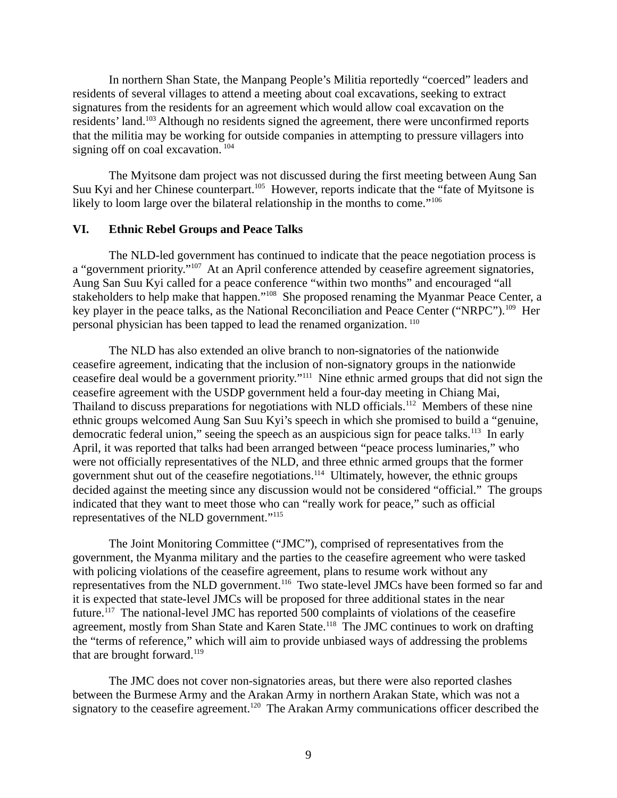In northern Shan State, the Manpang People's Militia reportedly "coerced" leaders and residents of several villages to attend a meeting about coal excavations, seeking to extract signatures from the residents for an agreement which would allow coal excavation on the residents' land.<sup>103</sup> Although no residents signed the agreement, there were unconfirmed reports that the militia may be working for outside companies in attempting to pressure villagers into signing off on coal excavation.<sup>104</sup>

The Myitsone dam project was not discussed during the first meeting between Aung San Suu Kyi and her Chinese counterpart.<sup>105</sup> However, reports indicate that the "fate of Myitsone is likely to loom large over the bilateral relationship in the months to come."<sup>106</sup>

## <span id="page-8-0"></span>**VI. Ethnic Rebel Groups and Peace Talks**

The NLD-led government has continued to indicate that the peace negotiation process is a "government priority."<sup>107</sup> At an April conference attended by ceasefire agreement signatories, Aung San Suu Kyi called for a peace conference "within two months" and encouraged "all stakeholders to help make that happen."<sup>108</sup> She proposed renaming the Myanmar Peace Center, a key player in the peace talks, as the National Reconciliation and Peace Center ("NRPC").<sup>109</sup> Her personal physician has been tapped to lead the renamed organization. <sup>110</sup>

The NLD has also extended an olive branch to non-signatories of the nationwide ceasefire agreement, indicating that the inclusion of non-signatory groups in the nationwide ceasefire deal would be a government priority."<sup>111</sup> Nine ethnic armed groups that did not sign the ceasefire agreement with the USDP government held a four-day meeting in Chiang Mai, Thailand to discuss preparations for negotiations with NLD officials.<sup>112</sup> Members of these nine ethnic groups welcomed Aung San Suu Kyi's speech in which she promised to build a "genuine, democratic federal union," seeing the speech as an auspicious sign for peace talks.<sup>113</sup> In early April, it was reported that talks had been arranged between "peace process luminaries," who were not officially representatives of the NLD, and three ethnic armed groups that the former government shut out of the ceasefire negotiations.<sup>114</sup> Ultimately, however, the ethnic groups decided against the meeting since any discussion would not be considered "official." The groups indicated that they want to meet those who can "really work for peace," such as official representatives of the NLD government."<sup>115</sup>

The Joint Monitoring Committee ("JMC"), comprised of representatives from the government, the Myanma military and the parties to the ceasefire agreement who were tasked with policing violations of the ceasefire agreement, plans to resume work without any representatives from the NLD government.<sup>116</sup> Two state-level JMCs have been formed so far and it is expected that state-level JMCs will be proposed for three additional states in the near future.<sup>117</sup> The national-level JMC has reported 500 complaints of violations of the ceasefire agreement, mostly from Shan State and Karen State.<sup>118</sup> The JMC continues to work on drafting the "terms of reference," which will aim to provide unbiased ways of addressing the problems that are brought forward. $119$ 

The JMC does not cover non-signatories areas, but there were also reported clashes between the Burmese Army and the Arakan Army in northern Arakan State, which was not a signatory to the ceasefire agreement.<sup>120</sup> The Arakan Army communications officer described the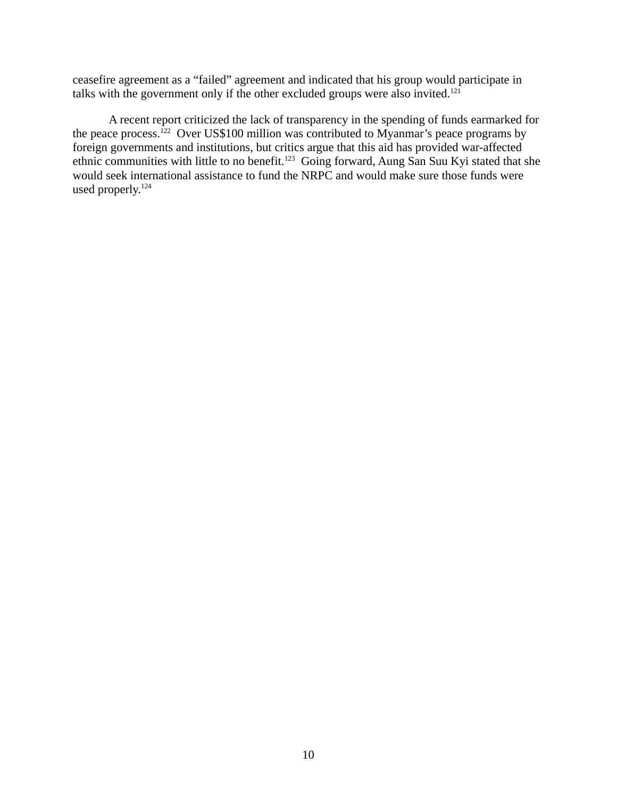ceasefire agreement as a "failed" agreement and indicated that his group would participate in talks with the government only if the other excluded groups were also invited.<sup>121</sup>

A recent report criticized the lack of transparency in the spending of funds earmarked for the peace process.<sup>122</sup> Over US\$100 million was contributed to Myanmar's peace programs by foreign governments and institutions, but critics argue that this aid has provided war-affected ethnic communities with little to no benefit.<sup>123</sup> Going forward, Aung San Suu Kyi stated that she would seek international assistance to fund the NRPC and would make sure those funds were used properly.<sup>124</sup>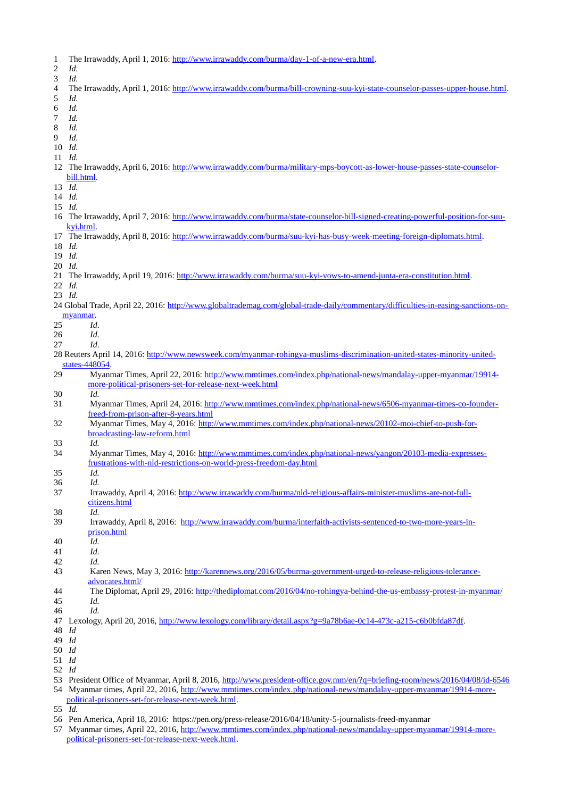- 1 The Irrawaddy, April 1, 2016: [http://www.irrawaddy.com/burma/day-1-of-a-new-era.html.](http://www.irrawaddy.com/burma/day-1-of-a-new-era.html)
- 2 *Id.* 3 *Id.* 4 The Irrawaddy, April 1, 2016: [http://www.irrawaddy.com/burma/bill-crowning-suu-kyi-state-counselor-passes-upper-house.html.](http://www.irrawaddy.com/burma/bill-crowning-suu-kyi-state-counselor-passes-upper-house.html) 5 *Id.* 6 *Id.* 7 *Id.* 8 *Id.* 9 *Id.* 10 *Id.* 11 *Id.* 12 The Irrawaddy, April 6, 2016: [http://www.irrawaddy.com/burma/military-mps-boycott-as-lower-house-passes-state-counselor](http://www.irrawaddy.com/burma/military-mps-boycott-as-lower-house-passes-state-counselor-bill.html)[bill.html.](http://www.irrawaddy.com/burma/military-mps-boycott-as-lower-house-passes-state-counselor-bill.html) 13 *Id.* 14 *Id.* 15 *Id.* 16 The Irrawaddy, April 7, 2016: [http://www.irrawaddy.com/burma/state-counselor-bill-signed-creating-powerful-position-for-suu](http://www.irrawaddy.com/burma/state-counselor-bill-signed-creating-powerful-position-for-suu-kyi.html)[kyi.html.](http://www.irrawaddy.com/burma/state-counselor-bill-signed-creating-powerful-position-for-suu-kyi.html) 17 The Irrawaddy, April 8, 2016: [http://www.irrawaddy.com/burma/suu-kyi-has-busy-week-meeting-foreign-diplomats.html.](http://www.irrawaddy.com/burma/suu-kyi-has-busy-week-meeting-foreign-diplomats.html) 18 *Id.* 19 *Id.* 20 *Id.* 21 The Irrawaddy, April 19, 2016: [http://www.irrawaddy.com/burma/suu-kyi-vows-to-amend-junta-era-constitution.html.](http://www.irrawaddy.com/burma/suu-kyi-vows-to-amend-junta-era-constitution.html) 22 *Id.* 23 *Id.* 24 Global Trade, April 22, 2016: [http://www.globaltrademag.com/global-trade-daily/commentary/difficulties-in-easing-sanctions-on](http://www.globaltrademag.com/global-trade-daily/commentary/difficulties-in-easing-sanctions-on-myanmar)[myanmar.](http://www.globaltrademag.com/global-trade-daily/commentary/difficulties-in-easing-sanctions-on-myanmar) 25 *Id*. 26 *Id*. 27 *Id*. 28 Reuters April 14, 2016: [http://www.newsweek.com/myanmar-rohingya-muslims-discrimination-united-states-minority-united](http://www.newsweek.com/myanmar-rohingya-muslims-discrimination-united-states-minority-united-states-448054)[states-448054.](http://www.newsweek.com/myanmar-rohingya-muslims-discrimination-united-states-minority-united-states-448054) 29 Myanmar Times, April 22, 2016: [http://www.mmtimes.com/index.php/national-news/mandalay-upper-myanmar/19914](http://www.mmtimes.com/index.php/national-news/mandalay-upper-myanmar/19914-more-political-prisoners-set-for-release-next-week.html) [more-political-prisoners-set-for-release-next-week.html](http://www.mmtimes.com/index.php/national-news/mandalay-upper-myanmar/19914-more-political-prisoners-set-for-release-next-week.html) 30 *Id.* 31 Myanmar Times, April 24, 2016: [http://www.mmtimes.com/index.php/national-news/6506-myanmar-times-co-founder](http://www.mmtimes.com/index.php/national-news/6506-myanmar-times-co-founder-freed-from-prison-after-8-years.html)[freed-from-prison-after-8-years.html](http://www.mmtimes.com/index.php/national-news/6506-myanmar-times-co-founder-freed-from-prison-after-8-years.html) 32 Myanmar Times, May 4, 2016: [http://www.mmtimes.com/index.php/national-news/20102-moi-chief-to-push-for](http://www.mmtimes.com/index.php/national-news/20102-moi-chief-to-push-for-broadcasting-law-reform.html)[broadcasting-law-reform.html](http://www.mmtimes.com/index.php/national-news/20102-moi-chief-to-push-for-broadcasting-law-reform.html) 33 *Id.* 34 Myanmar Times, May 4, 2016: [http://www.mmtimes.com/index.php/national-news/yangon/20103-media-expresses](http://www.mmtimes.com/index.php/national-news/yangon/20103-media-expresses-frustrations-with-nld-restrictions-on-world-press-freedom-day.html)[frustrations-with-nld-restrictions-on-world-press-freedom-day.html](http://www.mmtimes.com/index.php/national-news/yangon/20103-media-expresses-frustrations-with-nld-restrictions-on-world-press-freedom-day.html) 35 *Id.* 36 *Id.* 37 Irrawaddy, April 4, 2016: [http://www.irrawaddy.com/burma/nld-religious-affairs-minister-muslims-are-not-full](http://www.irrawaddy.com/burma/nld-religious-affairs-minister-muslims-are-not-full-citizens.html)[citizens.html](http://www.irrawaddy.com/burma/nld-religious-affairs-minister-muslims-are-not-full-citizens.html) 38 *Id.* 39 Irrawaddy, April 8, 2016: [http://www.irrawaddy.com/burma/interfaith-activists-sentenced-to-two-more-years-in](http://www.irrawaddy.com/burma/interfaith-activists-sentenced-to-two-more-years-in-prison.html)[prison.html](http://www.irrawaddy.com/burma/interfaith-activists-sentenced-to-two-more-years-in-prison.html) 40 *Id.* 41 *Id.* 42 *Id.* 43 Karen News, May 3, 2016: [http://karennews.org/2016/05/burma-government-urged-to-release-religious-tolerance](http://karennews.org/2016/05/burma-government-urged-to-release-religious-tolerance-advocates.html/)[advocates.html/](http://karennews.org/2016/05/burma-government-urged-to-release-religious-tolerance-advocates.html/) 44 The Diplomat, April 29, 2016:<http://thediplomat.com/2016/04/no-rohingya-behind-the-us-embassy-protest-in-myanmar/> 45 *Id.* 46 *Id.* 47 Lexology, April 20, 2016, [http://www.lexology.com/library/detail.aspx?g=9a78b6ae-0c14-473c-a215-c6b0bfda87df.](http://www.lexology.com/library/detail.aspx?g=9a78b6ae-0c14-473c-a215-c6b0bfda87df) 48 *Id* 49 *Id* 50 *Id* 51 *Id* 52 *Id* 53 President Office of Myanmar, April 8, 2016,<http://www.president-office.gov.mm/en/?q=briefing-room/news/2016/04/08/id-6546> 54 Myanmar times, April 22, 2016, [http://www.mmtimes.com/index.php/national-news/mandalay-upper-myanmar/19914-more-](http://www.mmtimes.com/index.php/national-news/mandalay-upper-myanmar/19914-more-political-prisoners-set-for-release-next-week.html)
- [political-prisoners-set-for-release-next-week.html.](http://www.mmtimes.com/index.php/national-news/mandalay-upper-myanmar/19914-more-political-prisoners-set-for-release-next-week.html)
- 55 *Id.*
- 56 Pen America, April 18, 2016: https://pen.org/press-release/2016/04/18/unity-5-journalists-freed-myanmar

57 Myanmar times, April 22, 2016, [http://www.mmtimes.com/index.php/national-news/mandalay-upper-myanmar/19914-more](http://www.mmtimes.com/index.php/national-news/mandalay-upper-myanmar/19914-more-political-prisoners-set-for-release-next-week.html)[political-prisoners-set-for-release-next-week.html.](http://www.mmtimes.com/index.php/national-news/mandalay-upper-myanmar/19914-more-political-prisoners-set-for-release-next-week.html)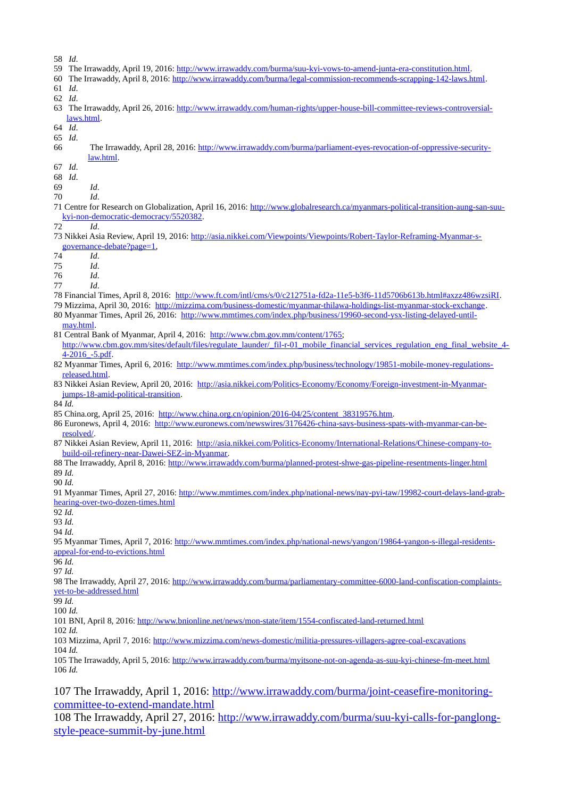- 58 *Id*.
- 59 The Irrawaddy, April 19, 2016: [http://www.irrawaddy.com/burma/suu-kyi-vows-to-amend-junta-era-constitution.html.](http://www.irrawaddy.com/burma/suu-kyi-vows-to-amend-junta-era-constitution.html)
- 60 The Irrawaddy, April 8, 2016: [http://www.irrawaddy.com/burma/legal-commission-recommends-scrapping-142-laws.html.](http://www.irrawaddy.com/burma/legal-commission-recommends-scrapping-142-laws.html)
- 61 *Id*. 62 *Id*.
- 63 The Irrawaddy, April 26, 2016: [http://www.irrawaddy.com/human-rights/upper-house-bill-committee-reviews-controversial](http://www.irrawaddy.com/human-rights/upper-house-bill-committee-reviews-controversial-laws.html)[laws.html.](http://www.irrawaddy.com/human-rights/upper-house-bill-committee-reviews-controversial-laws.html)
- 64 *Id*.
- 65 *Id*.
- 66 The Irrawaddy, April 28, 2016: [http://www.irrawaddy.com/burma/parliament-eyes-revocation-of-oppressive-security](http://www.irrawaddy.com/burma/parliament-eyes-revocation-of-oppressive-security-law.html)[law.html.](http://www.irrawaddy.com/burma/parliament-eyes-revocation-of-oppressive-security-law.html)
- 67 *Id*.
- 68 *Id*.
- 69 *Id*.
- 70 *Id*.
- 71 Centre for Research on Globalization, April 16, 2016: [http://www.globalresearch.ca/myanmars-political-transition-aung-san-suu](http://www.globalresearch.ca/myanmars-political-transition-aung-san-suu-kyi-non-democratic-democracy/5520382)[kyi-non-democratic-democracy/5520382.](http://www.globalresearch.ca/myanmars-political-transition-aung-san-suu-kyi-non-democratic-democracy/5520382)
- 72 *Id*.
- 73 Nikkei Asia Review, April 19, 2016: [http://asia.nikkei.com/Viewpoints/Viewpoints/Robert-Taylor-Reframing-Myanmar-s](http://asia.nikkei.com/Viewpoints/Viewpoints/Robert-Taylor-Reframing-Myanmar-s-governance-debate?page=1)[governance-debate?page=1,](http://asia.nikkei.com/Viewpoints/Viewpoints/Robert-Taylor-Reframing-Myanmar-s-governance-debate?page=1)
- 74 *Id*.

75 *Id*.

76 *Id*.

77 *Id*.

- 78 Financial Times, April 8, 2016: [http://www.ft.com/intl/cms/s/0/c212751a-fd2a-11e5-b3f6-11d5706b613b.html#axzz486wzsiRI.](http://www.ft.com/intl/cms/s/0/c212751a-fd2a-11e5-b3f6-11d5706b613b.html#axzz486wzsiRI)
- 79 Mizzima, April 30, 2016: [http://mizzima.com/business-domestic/myanmar-thilawa-holdings-list-myanmar-stock-exchange.](http://mizzima.com/business-domestic/myanmar-thilawa-holdings-list-myanmar-stock-exchange)
- 80 Myanmar Times, April 26, 2016: [http://www.mmtimes.com/index.php/business/19960-second-ysx-listing-delayed-until](http://www.mmtimes.com/index.php/business/19960-second-ysx-listing-delayed-until-may.html)[may.html.](http://www.mmtimes.com/index.php/business/19960-second-ysx-listing-delayed-until-may.html)
- 81 Central Bank of Myanmar, April 4, 2016: [http://www.cbm.gov.mm/content/1765;](http://www.cbm.gov.mm/content/1765) [http://www.cbm.gov.mm/sites/default/files/regulate\\_launder/\\_fil-r-01\\_mobile\\_financial\\_services\\_regulation\\_eng\\_final\\_website\\_4-](http://www.cbm.gov.mm/sites/default/files/regulate_launder/_fil-r-01_mobile_financial_services_regulation_eng_final_website_4-4-2016_-5.pdf) [4-2016\\_-5.pdf.](http://www.cbm.gov.mm/sites/default/files/regulate_launder/_fil-r-01_mobile_financial_services_regulation_eng_final_website_4-4-2016_-5.pdf)
- 82 Myanmar Times, April 6, 2016: [http://www.mmtimes.com/index.php/business/technology/19851-mobile-money-regulations](http://www.mmtimes.com/index.php/business/technology/19851-mobile-money-regulations-released.html)[released.html.](http://www.mmtimes.com/index.php/business/technology/19851-mobile-money-regulations-released.html)
- 83 Nikkei Asian Review, April 20, 2016: [http://asia.nikkei.com/Politics-Economy/Economy/Foreign-investment-in-Myanmar](http://asia.nikkei.com/Politics-Economy/Economy/Foreign-investment-in-Myanmar-jumps-18-amid-political-transition)[jumps-18-amid-political-transition.](http://asia.nikkei.com/Politics-Economy/Economy/Foreign-investment-in-Myanmar-jumps-18-amid-political-transition)
- 84 *Id.*
- 85 China.org, April 25, 2016: [http://www.china.org.cn/opinion/2016-04/25/content\\_38319576.htm.](http://www.china.org.cn/opinion/2016-04/25/content_38319576.htm)
- 86 Euronews, April 4, 2016: [http://www.euronews.com/newswires/3176426-china-says-business-spats-with-myanmar-can-be](http://www.euronews.com/newswires/3176426-china-says-business-spats-with-myanmar-can-be-resolved/)[resolved/.](http://www.euronews.com/newswires/3176426-china-says-business-spats-with-myanmar-can-be-resolved/)
- 87 Nikkei Asian Review, April 11, 2016: [http://asia.nikkei.com/Politics-Economy/International-Relations/Chinese-company-to](http://asia.nikkei.com/Politics-Economy/International-Relations/Chinese-company-to-build-oil-refinery-near-Dawei-SEZ-in-Myanmar)[build-oil-refinery-near-Dawei-SEZ-in-Myanmar.](http://asia.nikkei.com/Politics-Economy/International-Relations/Chinese-company-to-build-oil-refinery-near-Dawei-SEZ-in-Myanmar)
- 88 The Irrawaddy, April 8, 2016:<http://www.irrawaddy.com/burma/planned-protest-shwe-gas-pipeline-resentments-linger.html> 89 *Id.*

90 *Id.*

91 Myanmar Times, April 27, 2016: [http://www.mmtimes.com/index.php/national-news/nay-pyi-taw/19982-court-delays-land-grab](http://www.mmtimes.com/index.php/national-news/nay-pyi-taw/19982-court-delays-land-grab-hearing-over-two-dozen-times.html)[hearing-over-two-dozen-times.html](http://www.mmtimes.com/index.php/national-news/nay-pyi-taw/19982-court-delays-land-grab-hearing-over-two-dozen-times.html)

92 *Id.*

93 *Id.*

94 *Id.*

95 Myanmar Times, April 7, 2016: [http://www.mmtimes.com/index.php/national-news/yangon/19864-yangon-s-illegal-residents](http://www.mmtimes.com/index.php/national-news/yangon/19864-yangon-s-illegal-residents-appeal-for-end-to-evictions.html)[appeal-for-end-to-evictions.html](http://www.mmtimes.com/index.php/national-news/yangon/19864-yangon-s-illegal-residents-appeal-for-end-to-evictions.html)

96 *Id.*

97 *Id.*

98 The Irrawaddy, April 27, 2016: [http://www.irrawaddy.com/burma/parliamentary-committee-6000-land-confiscation-complaints](http://www.irrawaddy.com/burma/parliamentary-committee-6000-land-confiscation-complaints-yet-to-be-addressed.html)[yet-to-be-addressed.html](http://www.irrawaddy.com/burma/parliamentary-committee-6000-land-confiscation-complaints-yet-to-be-addressed.html)

99 *Id.*

100 *Id.*

101 BNI, April 8, 2016:<http://www.bnionline.net/news/mon-state/item/1554-confiscated-land-returned.html>

102 *Id.*

103 Mizzima, April 7, 2016:<http://www.mizzima.com/news-domestic/militia-pressures-villagers-agree-coal-excavations> 104 *Id.*

105 The Irrawaddy, April 5, 2016:<http://www.irrawaddy.com/burma/myitsone-not-on-agenda-as-suu-kyi-chinese-fm-meet.html> 106 *Id.*

107 The Irrawaddy, April 1, 2016: [http://www.irrawaddy.com/burma/joint-ceasefire-monitoring](http://www.irrawaddy.com/burma/joint-ceasefire-monitoring-committee-to-extend-mandate.html)[committee-to-extend-mandate.html](http://www.irrawaddy.com/burma/joint-ceasefire-monitoring-committee-to-extend-mandate.html)

108 The Irrawaddy, April 27, 2016: [http://www.irrawaddy.com/burma/suu-kyi-calls-for-panglong](http://www.irrawaddy.com/burma/suu-kyi-calls-for-panglong-style-peace-summit-by-june.html)[style-peace-summit-by-june.html](http://www.irrawaddy.com/burma/suu-kyi-calls-for-panglong-style-peace-summit-by-june.html)